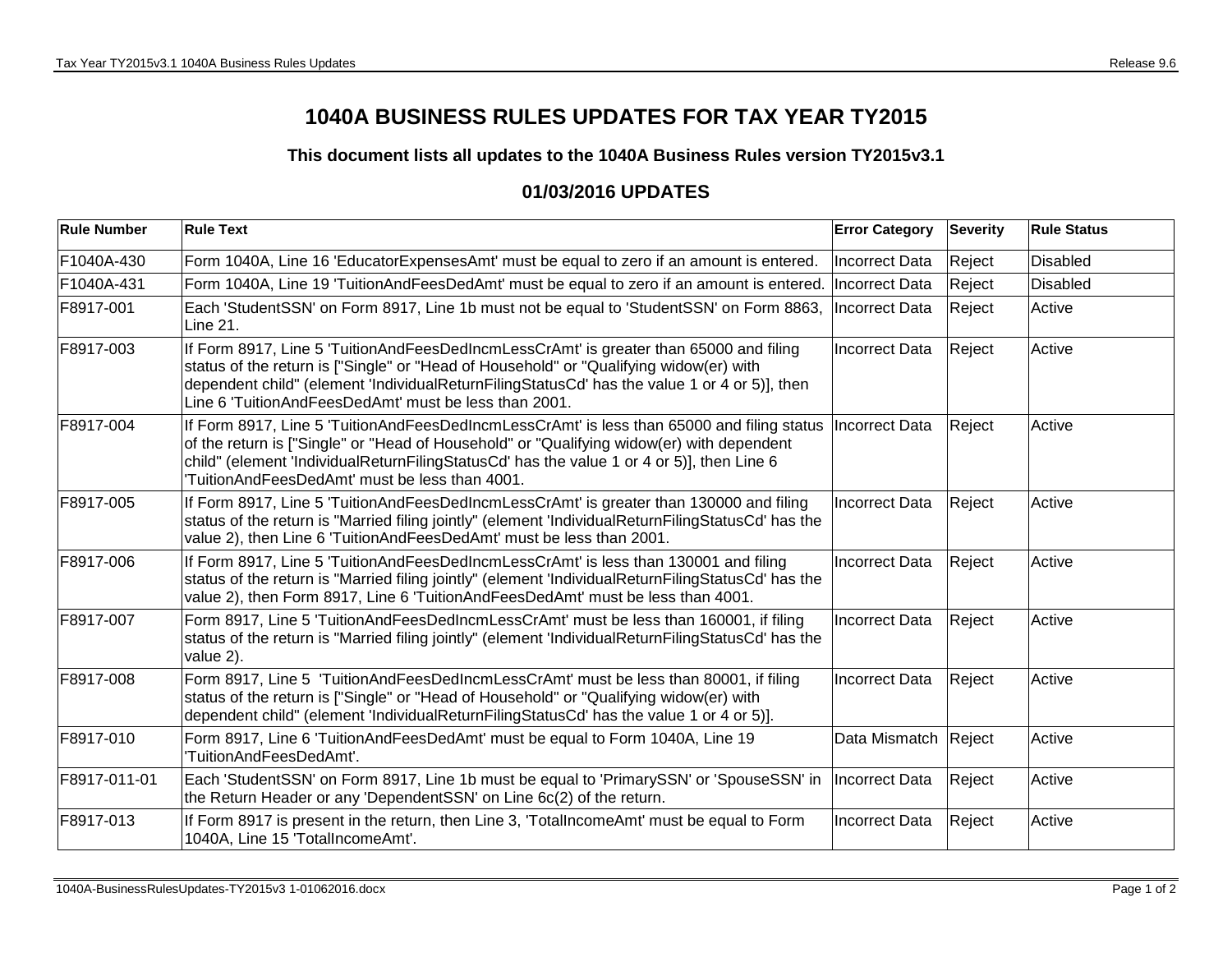## **1040A BUSINESS RULES UPDATES FOR TAX YEAR TY2015**

## **This document lists all updates to the 1040A Business Rules version TY2015v3.1**

## **01/03/2016 UPDATES**

| <b>Rule Number</b> | <b>Rule Text</b>                                                                                                                                                                                                                                                                                                                                      | <b>Error Category</b> | <b>Severity</b> | <b>Rule Status</b> |
|--------------------|-------------------------------------------------------------------------------------------------------------------------------------------------------------------------------------------------------------------------------------------------------------------------------------------------------------------------------------------------------|-----------------------|-----------------|--------------------|
| F1040A-430         | Form 1040A, Line 16 'EducatorExpensesAmt' must be equal to zero if an amount is entered.                                                                                                                                                                                                                                                              | <b>Incorrect Data</b> | Reject          | Disabled           |
| F1040A-431         | Form 1040A, Line 19 'TuitionAndFeesDedAmt' must be equal to zero if an amount is entered.                                                                                                                                                                                                                                                             | Incorrect Data        | Reject          | <b>Disabled</b>    |
| F8917-001          | Each 'StudentSSN' on Form 8917, Line 1b must not be equal to 'StudentSSN' on Form 8863,<br><b>Line 21.</b>                                                                                                                                                                                                                                            | Incorrect Data        | Reject          | Active             |
| F8917-003          | If Form 8917, Line 5 'TuitionAndFeesDedIncmLessCrAmt' is greater than 65000 and filing<br>status of the return is ["Single" or "Head of Household" or "Qualifying widow(er) with<br>dependent child" (element 'IndividualReturnFilingStatusCd' has the value 1 or 4 or 5)], then<br>Line 6 'TuitionAndFeesDedAmt' must be less than 2001.             | Incorrect Data        | Reject          | Active             |
| F8917-004          | If Form 8917, Line 5 'TuitionAndFeesDedIncmLessCrAmt' is less than 65000 and filing status  Incorrect Data<br>of the return is ["Single" or "Head of Household" or "Qualifying widow(er) with dependent<br>child" (element 'IndividualReturnFilingStatusCd' has the value 1 or 4 or 5)], then Line 6<br>TuitionAndFeesDedAmt' must be less than 4001. |                       | Reject          | Active             |
| F8917-005          | If Form 8917, Line 5 'TuitionAndFeesDedIncmLessCrAmt' is greater than 130000 and filing<br>status of the return is "Married filing jointly" (element 'IndividualReturnFilingStatusCd' has the<br>value 2), then Line 6 'TuitionAndFeesDedAmt' must be less than 2001.                                                                                 | <b>Incorrect Data</b> | Reject          | Active             |
| F8917-006          | If Form 8917, Line 5 'TuitionAndFeesDedIncmLessCrAmt' is less than 130001 and filing<br>status of the return is "Married filing jointly" (element 'IndividualReturnFilingStatusCd' has the<br>value 2), then Form 8917, Line 6 'TuitionAndFeesDedAmt' must be less than 4001.                                                                         | <b>Incorrect Data</b> | Reject          | Active             |
| F8917-007          | Form 8917, Line 5 'TuitionAndFeesDedIncmLessCrAmt' must be less than 160001, if filing<br>status of the return is "Married filing jointly" (element 'IndividualReturnFilingStatusCd' has the<br>value 2).                                                                                                                                             | <b>Incorrect Data</b> | Reject          | Active             |
| F8917-008          | Form 8917, Line 5 'TuitionAndFeesDedIncmLessCrAmt' must be less than 80001, if filing<br>status of the return is ["Single" or "Head of Household" or "Qualifying widow(er) with<br>dependent child" (element 'IndividualReturnFilingStatusCd' has the value 1 or 4 or 5)].                                                                            | <b>Incorrect Data</b> | Reject          | Active             |
| F8917-010          | Form 8917, Line 6 'TuitionAndFeesDedAmt' must be equal to Form 1040A, Line 19<br>'TuitionAndFeesDedAmt'.                                                                                                                                                                                                                                              | Data Mismatch         | Reject          | Active             |
| F8917-011-01       | Each 'StudentSSN' on Form 8917, Line 1b must be equal to 'PrimarySSN' or 'SpouseSSN' in  Incorrect Data<br>the Return Header or any 'DependentSSN' on Line 6c(2) of the return.                                                                                                                                                                       |                       | Reject          | Active             |
| F8917-013          | If Form 8917 is present in the return, then Line 3, 'TotalIncomeAmt' must be equal to Form<br>1040A, Line 15 'TotalIncomeAmt'.                                                                                                                                                                                                                        | Incorrect Data        | Reject          | Active             |